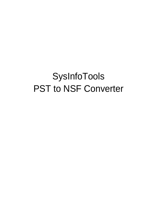# SysInfoTools PST to NSF Converter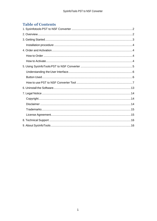# **Table of Contents**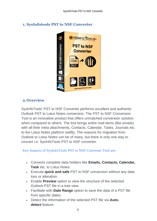

# <span id="page-2-0"></span>**1. SysInfotools PST to NSF Converter**

# <span id="page-2-1"></span>**2.Overview**

SysInfoTools' PST to NSF Converter performs excellent and authentic Outlook PST to Lotus Notes conversion. The PST to NSF Conversion Tool is an innovative product that offers unmatched conversion solution when compared to others. The tool brings entire mail items (like emails) with all their meta attachments, Contacts, Calendar, Tasks, Journals etc. to the Lotus Notes platform swiftly. The reasons for migration from Outlook to Lotus Notes can be of many, but there is only one way to convert i.e. SysInfoTools PST to NSF converter.

Key features of SysInfoTools PST to NSF Converter Tool are:

- Converts complete data holders like **Emails, Contacts, Calendar, Task** etc. to Lotus Notes.
- Execute **quick and safe** PST to NSF conversion without any data loss or alteration.
- Enable **Preview** option to view the structure of the selected Outlook PST file in a tree view.
- Facilitate with **Date Range** option to save the data of a PST file from specific dates.
- Detect the information of the selected PST file via **Autodetect** feature.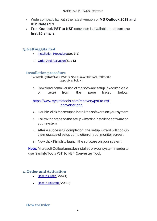- Wide compatibility with the latest version of **MS Outlook 2019 and IBM Notes 9.1**
- **Free Outlook PST to NSF** converter is available to **export the first 25 emails**.

# <span id="page-3-0"></span>**3.Getting Started**

- [Installation Procedure\(](#page-3-1)See 3.1)
- Order And Activation (See 4.)

#### <span id="page-3-1"></span>**Installation procedure**

To install **SysInfoTools PST to NSF Converter** Tool, follow the steps given below:

1. Download demo version of the software setup (executable file or .exe) from the page linked below:

[https://www.sysinfotools.com/recovery/pst-to-nsf](https://www.sysinfotools.com/recovery/pst-to-nsf-converter.php)[converter.php](https://www.sysinfotools.com/recovery/pst-to-nsf-converter.php)

- 2. Double-click the setup to install the software onyour system.
- 3. Follow the steps on the setup wizard to install the software on your system.
- 4. After a successful completion, the setup wizard will pop-up the message of setup completion on your monitor screen.
- 5. Now click **Finish** to launch the software on your system.

**Note:**MicrosoftOutlookmustbeinstalledonyoursysteminorderto use **SysInfoTools PST to NSF Converter** Tool.

## <span id="page-3-2"></span>**4. Order and Activation**

- [How to Order](#page-3-3)(See 4.1)
- [How to Activate](#page-4-0) (See 4.2)

#### <span id="page-3-3"></span>**How to Order**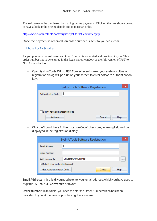The software can be purchased by making online payments. Click on the link shown below to have a look at the pricing details and to place an order.

<https://www.sysinfotools.com/buynow/pst-to-nsf-converter.php>

Once the payment is received, an order number is sent to you via e-mail.

#### <span id="page-4-0"></span>**How to Activate**

As you purchase the software, an Order Number is generated and provided to you. This order number has to be entered in the Registration window of the full version of PST to NSF Converter tool.

• Open **SysInfoTools PST to NSF Converter** software in your system, software registration dialog will pop-up on your screen to enter software authentication key.

| SysInfoTools Software Registration |                | × |
|------------------------------------|----------------|---|
| Authentication Code:               |                |   |
|                                    |                |   |
|                                    |                |   |
| I don't have authentication code   |                |   |
| Activate                           | Cancel<br>Help |   |

• Click the **"I don't have Authentication Code"** check box, following fields will be displayed in the registration dialog:

|                                  | SysInfoTools Software Registration |          |
|----------------------------------|------------------------------------|----------|
| Email Address:                   |                                    |          |
| Order Number:                    |                                    |          |
| Path to save file:               | C:\Users\SAM\Desktop               | $\cdots$ |
| I don't have authentication code |                                    |          |
| Get Authenticatication Code      | Cancel<br>Help                     |          |

**Email Address:** In this field, you need to enter your email address, which you have used to register **PST to NSF Converter** software.

**Order Number:** In this field, you need to enter the Order Number which has been provided to you at the time of purchasing the software.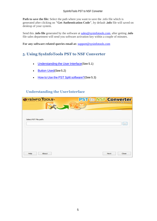Path to save the file: Select the path where you want to save the .info file which is generated after clicking on **"Get Authentication Code"**, by default **.info** file will saved on desktop of your system.

Send this **.info file** generated by the software at [sales@sysinfotools.com,](mailto:sales@sysinfotools.com) after getting **.info** file sales department will send you software activation key within a couple of minutes.

**For any software related queries email at:** [support@sysinfotools.com](mailto:support@sysinfotools.com)

# <span id="page-5-0"></span>**5. Using SysInfoTools PST to NSF Converter**

- [Understanding](#page-5-1) the User Interface (See 5.1)
- [Button Used](#page-5-2)(See 5.2)
- How to Use the PST Split [software?](#page-6-0) (See 5.3)

## <span id="page-5-1"></span>**Understanding the UserInterface**

<span id="page-5-2"></span>

| <b>PST to NSF Converter</b><br><b>Effortlessly Convert PST file(s) to NSF format</b> |
|--------------------------------------------------------------------------------------|
|                                                                                      |
|                                                                                      |
|                                                                                      |
|                                                                                      |
|                                                                                      |
|                                                                                      |
|                                                                                      |
|                                                                                      |
| Close<br>Next                                                                        |
|                                                                                      |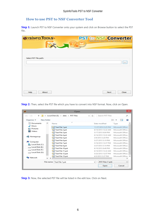## <span id="page-6-0"></span>**How to use PST to NSF Converter Tool**

**Step 1:** Launch PST to NSF Converter onto your system and click on Browse button to select the PST file..

| <b>OYSINFO TOOLS</b><br>$\begin{picture}(45,20) \put(0,0){\line(1,0){10}} \put(10,0){\line(1,0){10}} \put(10,0){\line(1,0){10}} \put(10,0){\line(1,0){10}} \put(10,0){\line(1,0){10}} \put(10,0){\line(1,0){10}} \put(10,0){\line(1,0){10}} \put(10,0){\line(1,0){10}} \put(10,0){\line(1,0){10}} \put(10,0){\line(1,0){10}} \put(10,0){\line(1,0){10}} \put(10,0){\line(1$ | <b>PST to NSF Converter</b><br>Effortlessly Convert PST file(s) to NSF format |       |
|-----------------------------------------------------------------------------------------------------------------------------------------------------------------------------------------------------------------------------------------------------------------------------------------------------------------------------------------------------------------------------|-------------------------------------------------------------------------------|-------|
| Select PST File path:                                                                                                                                                                                                                                                                                                                                                       |                                                                               | 111   |
|                                                                                                                                                                                                                                                                                                                                                                             |                                                                               |       |
| About<br>Help                                                                                                                                                                                                                                                                                                                                                               | Next                                                                          | Close |

**Step 2:** Then, select the PST file which you have to convert into NSF format. Now, click on Open.

| $(4-)$                             |            | « Local Disk (E:) > data > PST Files | $\vee$ $\circ$ | Search PST Files   | Q                    |
|------------------------------------|------------|--------------------------------------|----------------|--------------------|----------------------|
| Organise -                         | New folder |                                      |                |                    | SHE 1                |
| <b>Documents</b><br>n an           | ∼          | Name                                 |                | Date modified      | Type                 |
| al <sup>3</sup> Music              |            | Test File 1.pst                      |                | 11/27/2014 5:25 PM | Microsoft Office.    |
| Pictures                           |            | Test File 2.pst                      |                | 6/14/2013 12:22 AM | Microsoft Office.    |
| н<br>Videos                        |            | Test File 3.pst                      |                | 5/17/2013 6:04 PM  | Microsoft Office.    |
|                                    |            | Test File 4.pst                      |                | 6/14/2013 12:22 AM | Microsoft Office.    |
| ed Homegroup                       |            | Test File 5.pst                      |                | 3/9/2013 3:20 PM   | Microsoft Office.    |
|                                    |            | Test File 6.pst                      |                | 5/27/2013 5:10 PM  | Microsoft Office.    |
| Computer                           |            | Test File 7.pst                      |                | 5/16/2013 12:37 PM | Microsoft Office.    |
| Local Disk (C:)                    |            | Test File 8.pst                      |                | 5/27/2013 5:14 PM  | Microsoft Office.    |
| Local Disk (E:)                    |            | Test File 10.pst                     |                | 6/10/2013 6:48 PM  | Microsoft Office.    |
| Local Disk (F:)<br>Local Disk (G:) |            | Test File 11.pst                     |                | 6/14/2013 12:22 AM | Microsoft Office.    |
|                                    |            | Test File 12.pst                     |                | 5/23/2013 12:57 PM | Microsoft Office.    |
| <b>EN Network</b>                  |            | Test File 13.pst                     |                | 4/3/2013 5:37 PM   | Microsoft Office . V |
|                                    | $\epsilon$ |                                      |                |                    | ,                    |
|                                    |            | File name: Test File 1.pst           | $\checkmark$   | .PST Files (*.pst) | $\checkmark$         |
|                                    |            |                                      |                | Open               | Cancel               |

**Step 3:** Now, the selected PST file will be listed in the edit box. Click on Next.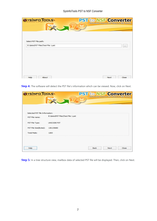| OYSINFO TOOLS                     | <b>PST to NSF Converter</b> | <b>Effortlessly Convert PST file(s) to NSF format</b> |          |
|-----------------------------------|-----------------------------|-------------------------------------------------------|----------|
|                                   |                             |                                                       |          |
|                                   |                             |                                                       |          |
| Select PST File path:             |                             |                                                       |          |
| E:\data\PST Files\Test File 1.pst |                             |                                                       | $\cdots$ |
|                                   |                             |                                                       |          |
|                                   |                             |                                                       |          |
|                                   |                             |                                                       |          |
|                                   |                             |                                                       |          |
| About<br>Help                     |                             | Next                                                  | Close    |

**Step 4:** The software will detect the PST file's information which can be viewed. Now, click on Next.

| Selected PST file Information:<br>E:\data\PST Files\Test File 1.pst |  |             |       |
|---------------------------------------------------------------------|--|-------------|-------|
|                                                                     |  |             |       |
|                                                                     |  |             |       |
|                                                                     |  |             |       |
|                                                                     |  |             |       |
| <b>UNICODE PST</b>                                                  |  |             |       |
| 136135680                                                           |  |             |       |
| 1283                                                                |  |             |       |
|                                                                     |  |             |       |
|                                                                     |  |             | Close |
|                                                                     |  | <b>Back</b> | Next  |

**Step 5:** In a tree structure view, mailbox data of selected PST file will be displayed. Then, click on Next.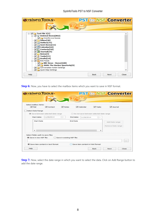| <b>OYSINFOTOOLS</b>                                                                                                                                                                                                                                                                                                                                                                                                               | <b>PST to NSF Converter</b>                           |      |              |
|-----------------------------------------------------------------------------------------------------------------------------------------------------------------------------------------------------------------------------------------------------------------------------------------------------------------------------------------------------------------------------------------------------------------------------------|-------------------------------------------------------|------|--------------|
|                                                                                                                                                                                                                                                                                                                                                                                                                                   | <b>Effortlessly Convert PST file(s) to NSF format</b> |      |              |
| $\sqrt{ }$ Test File 1[1]<br>⊟-<br>⊟ √ ॢ Deleted Items[862]<br>Cricinfo Live Scores<br>$\sqrt{1}$ Inbox[30]<br>$\sqrt{3}$ Outbox[31]<br>$\sqrt{2}$ Sent Items[11]<br><b>THE Calendar [22]</b><br>◡<br>$\sqrt{2}$ Contacts[10]<br>$\Box$ Journal [14]<br>✓<br>Notes[3]<br>✓<br>Tasks[11]<br>◡<br>$\sqrt{ }$ Drafts[14]<br><b>B</b> प <mark>ार</mark> RSS Feeds<br>$\sqrt{1}$ BBC News - Home[228]<br>2600: The Hacker Quarterly[9] |                                                       |      |              |
| Conversation Action Settings<br>Quick Step Settings                                                                                                                                                                                                                                                                                                                                                                               |                                                       |      | $\checkmark$ |
| Help                                                                                                                                                                                                                                                                                                                                                                                                                              | Back                                                  | Next | Close        |

**Step 6:** Now, you have to select the mailbox items which you want to save in NSF format.

| <b>OYSINFOTOOLS</b>                                       |                               |                            |                                           |            |                       | <b>PST to NSF Converter</b><br><b>Effortlessly Convert PST file(s) to NSF format</b> |       |
|-----------------------------------------------------------|-------------------------------|----------------------------|-------------------------------------------|------------|-----------------------|--------------------------------------------------------------------------------------|-------|
| Select mailbox items:<br>$\triangledown$ Mail             | $\blacktriangleright$ Contact | V Notes                    | $\blacktriangleright$ Calendar            |            | $\triangledown$ Tasks | $\blacktriangledown$ Journal                                                         |       |
| Select Date Range<br>Save between selected date range     |                               |                            | O Do not save between selected date range |            |                       |                                                                                      |       |
| Start date:                                               | 11/28/2014                    | <b>III</b> w               | End date:                                 | 11/28/2014 | $\Box$                |                                                                                      |       |
| <b>Start Date</b>                                         |                               |                            | <b>End Date</b>                           |            |                       | Add Date range                                                                       |       |
|                                                           |                               |                            |                                           |            |                       | Remove Date range                                                                    |       |
| $\epsilon$                                                |                               |                            |                                           |            | ⋗                     |                                                                                      |       |
| Select folder path to save files<br>Save in new NSF file: |                               | Save in existing NSF file: |                                           |            |                       |                                                                                      |       |
|                                                           |                               |                            |                                           |            |                       |                                                                                      |       |
| Save item content in text format                          |                               |                            | Save item content in html format          |            |                       |                                                                                      |       |
| Help                                                      |                               |                            |                                           | Back       |                       | Next                                                                                 | Close |

**Step 7:** Now, select the date range in which you want to select the data. Click on Add Range button to add the date range.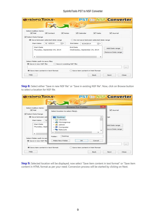#### SysInfoTools PST to NSF Converter

| Select mailbox items:<br>$\triangledown$ Mail | $\triangledown$ Contact                      | V Notes                    |                 | $\triangledown$ Calendar      | $\triangledown$ Tasks                           | V Journal         |  |
|-----------------------------------------------|----------------------------------------------|----------------------------|-----------------|-------------------------------|-------------------------------------------------|-------------------|--|
| Select Date Range                             |                                              |                            |                 |                               |                                                 |                   |  |
| Start date:                                   | Save between selected date range<br>9/4/2014 | ⊞∽                         | End date:       | 9/24/2014                     | ○ Do not save between selected date range<br>⊞≁ |                   |  |
| <b>Start Date</b>                             | Thursday, September 04, 2014                 |                            | <b>End Date</b> | Wednesday, September 24, 2014 |                                                 | Add Date range    |  |
|                                               |                                              |                            |                 |                               |                                                 | Remove Date range |  |
| $\epsilon$                                    |                                              |                            |                 |                               | s.                                              |                   |  |
| Select folder path to save files              |                                              |                            |                 |                               |                                                 |                   |  |
| Save in new NSF file:                         |                                              | Save in existing NSF file: |                 |                               |                                                 |                   |  |
|                                               |                                              |                            |                 |                               |                                                 |                   |  |

**Step 8:** Select either "Save in new NSF file" or "Save in existing NSF file". Now, click on Browse button to select a location for NSF file.

| <b>OYSINFOTOOLS</b>                                                                                              |                                                                                                                                                |                    | <b>PST to NSF Converter</b><br><b>Effortlessly Convert PST file(s) to NSF format</b> |
|------------------------------------------------------------------------------------------------------------------|------------------------------------------------------------------------------------------------------------------------------------------------|--------------------|--------------------------------------------------------------------------------------|
| Select mailbox items:<br>$\blacktriangleright$ Mail<br>▽                                                         | <b>Browse For Folder</b><br>Select location to select file(s).                                                                                 | $\mathbf{\times}$  | $\blacktriangledown$ Journal                                                         |
| Select Date Range<br>Save between sell<br>91<br>Start date:<br><b>Start Date</b><br>Thursday, Sept<br>$\epsilon$ | Desktop<br><b>Digital</b> Libraries<br>et Homegroup<br>$\triangleright$ $\blacksquare$ admin<br><b>Die Computer</b><br><b>CRI Network</b><br>ĸ | ∽<br>$\rightarrow$ | hae<br>Add Date range<br>move Date range                                             |
| Select folder path to say<br>Save in new NSF file                                                                | Desktop<br>Folder:<br>Make New Folder<br>ОК                                                                                                    | Cancel             | 1.11                                                                                 |
| Save item content in text format                                                                                 | Save item content in html format                                                                                                               |                    |                                                                                      |
| Help                                                                                                             |                                                                                                                                                | Back               | Next<br>Close                                                                        |

**Step 9:** Selected location will be displayed, now select "Save item content in text format" or "Save item content in HTML format as per your need. Conversion process will be started by clicking on Next.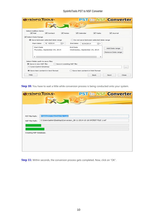#### SysInfoTools PST to NSF Converter

| <b>OYSINFOTOOLS</b>                                                                                  |                         |                            |                                                  |                                  |                                               | <b>PST to NSF Converter</b><br><b>Effortlessly Convert PST file(s) to NSF format</b> |       |
|------------------------------------------------------------------------------------------------------|-------------------------|----------------------------|--------------------------------------------------|----------------------------------|-----------------------------------------------|--------------------------------------------------------------------------------------|-------|
| Select mailbox items:<br>$\triangledown$ Mail                                                        | $\triangledown$ Contact | $\triangledown$ Notes      |                                                  | $\triangledown$ Calendar         | $\triangledown$ Tasks                         | V Journal                                                                            |       |
| √ Select Date Range<br>Save between selected date range<br>Start date:                               | 9/4/2014                | ▥▾                         | End date:                                        | 9/24/2014                        | Do not save between selected date range<br>⊞≁ |                                                                                      |       |
| <b>Start Date</b><br>Thursday, September 04, 2014                                                    |                         |                            | <b>End Date</b><br>Wednesday, September 24, 2014 |                                  |                                               | Add Date range<br>Remove Date range                                                  |       |
| $\epsilon$<br>Select folder path to save files<br>Save in new NSF file:<br>C: \Users \admin \Desktop |                         | Save in existing NSF file: |                                                  |                                  | $\rightarrow$                                 |                                                                                      |       |
| Save item content in text format<br>Help                                                             |                         |                            |                                                  | Save item content in html format | <b>Back</b>                                   | Next                                                                                 | Close |

**Step 10:** You have to wait a little while conversion process is being conducted onto your system.

|                                  | <b>OYSINFOTOOLS</b><br><b>PST to NSF Converter</b><br><b>Effortlessly Convert PST file(s) to NSF format</b> |
|----------------------------------|-------------------------------------------------------------------------------------------------------------|
| PST File Path:<br>NSF File Path: | E:\data\PST Files\Test File 1.pst<br>C:\Users\admin\Desktop\Conversion_28-11-2014-10-18-54\TEST FILE 1.nsf  |
| Creating NSF Database.           |                                                                                                             |
|                                  |                                                                                                             |

**Step 11:** Within seconds, the conversion process gets completed. Now, click on "OK".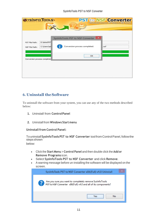| <b>OYSINFOTOOLS</b>          |             |                                   | <b>PST to NSF Converter</b><br><b>Effortlessly Convert PST file(s) to NSF format</b> |
|------------------------------|-------------|-----------------------------------|--------------------------------------------------------------------------------------|
|                              |             |                                   |                                                                                      |
|                              |             | SysInfoTools PST to NSF Converter | ×                                                                                    |
| PST File Path:               | E:\data\PST |                                   |                                                                                      |
| NSF File Path:               | C:\Users\ad | Conversion process completed.     | Lnsf                                                                                 |
| Conversion process completed |             |                                   | OK                                                                                   |
|                              |             |                                   |                                                                                      |
|                              |             |                                   |                                                                                      |
|                              |             |                                   |                                                                                      |

# <span id="page-11-0"></span>**6. Uninstall theSoftware**

To uninstall the software from your system, you can use any of the two methods described below:

- **1.** Uninstall from **ControlPanel**
- **2.** Uninstall from **Windows Start menu**

**Uninstall from Control Panel:** 

Touninstall**SysInfoToolsPST to NSF Converter** toolfromControlPanel,followthe **steps** shown below:

- Click the **Start Menu** > **Control Panel** and then double click the **Add or Remove Programs** icon.
	- Select **SysInfoTools PST to NSF Converter** and click **Remove**.
	- A warning message before un-installing the software will be displayed on the screen.

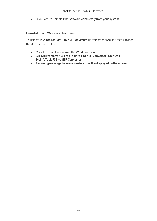• Click **'Yes'** to uninstall the software completely from your system.

#### **Uninstall from Windows Start menu:**

To uninstall **SysInfoTools PST to NSF Converter** file from Windows Start menu, follow the steps shown below:

- Click the **Start** button from the Windows menu.
- Click**AllPrograms**>**SysInfoToolsPST to NSF Converter>Uninstall SysInfoToolsPST to NSF Converter**.
- A warning message before un-installingwill be displayed on the screen.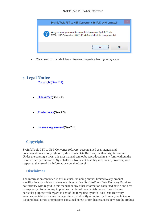

• Click **'Yes'** to uninstall the software completely from your system.

# <span id="page-13-0"></span>**7. Legal Notice**

[Copyright\(](#page-13-1)See 7.1)

- [Disclaimer](#page-13-2)(See 7.2)
- [Trademarks](#page-14-0)(See 7.3)
- [License Agreement](#page-14-1)(See7.4)

# <span id="page-13-1"></span>**Copyright**

SysInfoTools PST to NSF Converter software, accompanied user manual and documentation are copyright of SysInfoTools Data Recovery, with all rights reserved. Under the copyright laws, this user manual cannot be reproduced in any form without the Prior written permission of SysInfoTools. No Patent Liability is assumed, however, with respect to the use of the Information contained herein.

### <span id="page-13-2"></span>**Disclaimer**

The Information contained in this manual, including but not limited to any product specifications, is subject to change without notice. SysInfoTools Data Recovery Provides no warranty with regard to this manual or any other information contained herein and here by expressly disclaims any implied warranties of merchantability or fitness for any particular purpose with regard to any of the foregoing SysInfoTools Data Recovery assumes no liability for any damages incurred directly or indirectly from any technical or typographical errors or omissions contained herein or for discrepancies between theproduct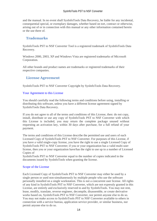and the manual. In no event shall SysInfoTools Data Recovery, be liable for any incidental, consequential special, or exemplary damages, whether based on tort, contract or otherwise, arising out of or in connection with this manual or any other information contained herein or the use there of.

## <span id="page-14-0"></span>**Trademarks**

SysInfoTools PST to NSF Converter Tool is a registered trademark of SysInfoTools Data Recovery.

Windows 2000, 2003, XP and Windows Vista are registered trademarks of Microsoft Corporation.

All other brands and product names are trademarks or registered trademarks of their respective companies.

## <span id="page-14-1"></span>**License Agreement**

SysInfoTools PST to NSF Converter Copyright by SysInfoTools Data Recovery.

#### Your Agreement to this License

You should carefully read the following terms and conditions before using, installing or distributing this software, unless you have a different license agreement signed by SysInfoTools Data Recovery.

If you do not agree to all of the terms and conditions of this License, then: do not copy, install, distribute or use any copy of SysInfoTools PST to NSF Converter with which this License is included, you may return the complete package unused without requesting an activation key, within 30 days after purchase, for a full refund of your payment.

The terms and conditions of this License describe the permitted use and users of each Licensed Copy of SysInfoTools PST to NSF Converter. For purposes of this License, if you have a valid single-copy license, you have the right to use a single Licensed Copy of SysInfoTools PST to NSF Converter; if you or your organization has a valid multi-user license, then you or your organization have/has the right to use up to a number of Licensed Copies of

SysInfoTools PST to NSF Converter equal to the number of copies indicated in the documents issued by SysInfoTools when granting the license.

#### Scope of the License

Each Licensed Copy of SysInfoTools PST to NSF Converter may either be used by a single person or used non-simultaneously by multiple people who use the software personally installed on a single workstation. This is not a concurrent user license. All rights of any kind in SysInfoTools PST to NSF Converter, which are not expressly granted in this License, are entirely and exclusively reserved to and by SysInfoTools. You may not rent, lease, modify, translate, reverse engineer, decompile, disassemble, or create derivative works based on, SysInfoTools PST to NSF Converter, nor permit anyone else to do so. You may not make access to SysInfoTools PST to NSF Converter available to others in connection with a service bureau, application service provider, or similar business, nor permit anyone else to do so.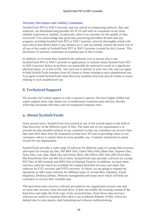#### Warranty Disclaimers and Liability Limitations

SysInfoTools PST to NSF Converter, and any and all accompanying software, data and materials, are distributed and provided AS-IT-IS and with no warranties of any kind, whether expressed or implied. In particular, there is no warranty for the quality of data recovered. You acknowledge that good data processing procedure dictates that any program, including SysInfoTools PST to NSF Converter, must be thoroughly tested with non-critical data before there is any reliance on it, and you hereby assume the entire risk of all use of the copies of SysInfoTools PST to NSF Converter covered by this License. This disclaimer of warranty constitutes an essential part of this License.

In addition, in no event does SysInfoTools authorize you or anyone else to use SysInfoTools PST to NSF Converter in applications or systems where SysInfoTools PST to NSF Converter failure to perform can reasonably be expected to result in a significant physical injury, or in loss of life. Any such use is entirely at your own risk, and you agree to hold SysInfoTools harmless from all claims or losses relating to such unauthorized use. You agree to hold SysInfoTools Data Recovery harmless from any and all claims or losses relating to such unauthorized use.

# <span id="page-15-0"></span>**8. Technical Support**

We provide 24/7 online support to solve customer's queries. We have highly skilled and expert support team, who makes use of modernized communication devices, thereby achieving maximum efficiency and an exceptional response time.

## <span id="page-15-1"></span>**9. About SysInfoTools**

Since several years, SysInfoTools has evolved as one of the trusted names in the field of Data Recovery of the different types of files. The main aim of our organization is to provide the best possible solution to our customers so that our customers can recover their data and relief them from the frustration of data loss. We aim at providing values to our customers and try to satisfy them in every possible way. Customer satisfaction is prime reward for our organization.

SysInfoTools provides a wide range of software for different types of corrupt files recovery and repair for corrupt zip files, MS BKF files, Open Office files (Base files, Impress files, Draw files, Calc files, Math files and Writer files), MS Office 2007 files (MS Word files, MS PowerPoint files and MS Excel files). SysInfoTools also provides software for corrupt PST files of MS Outlook and DBX files of Outlook Express. In addition, we have more recovery software which are available for crashed hard disk recovery and repair like software for FAT recovery and NTFS recovery. In future, we are going to expand our operations to offer more software for different types of corrupt files, Database, Email migration, Desktop utilities, Network management and many more which will help our customers to recover their valuable data.

The hard drives data recovery software provided by our organization ensures safe and accurate data recovery from the hard drive. It does not modify the existing content of the hard drive and make the fresh copy of the recovered data. Hard drives data recovery software are useful in situation when there is an accidental deletion of files, which are deleted due to virus attacks, disk formatting and software malfunctioning.